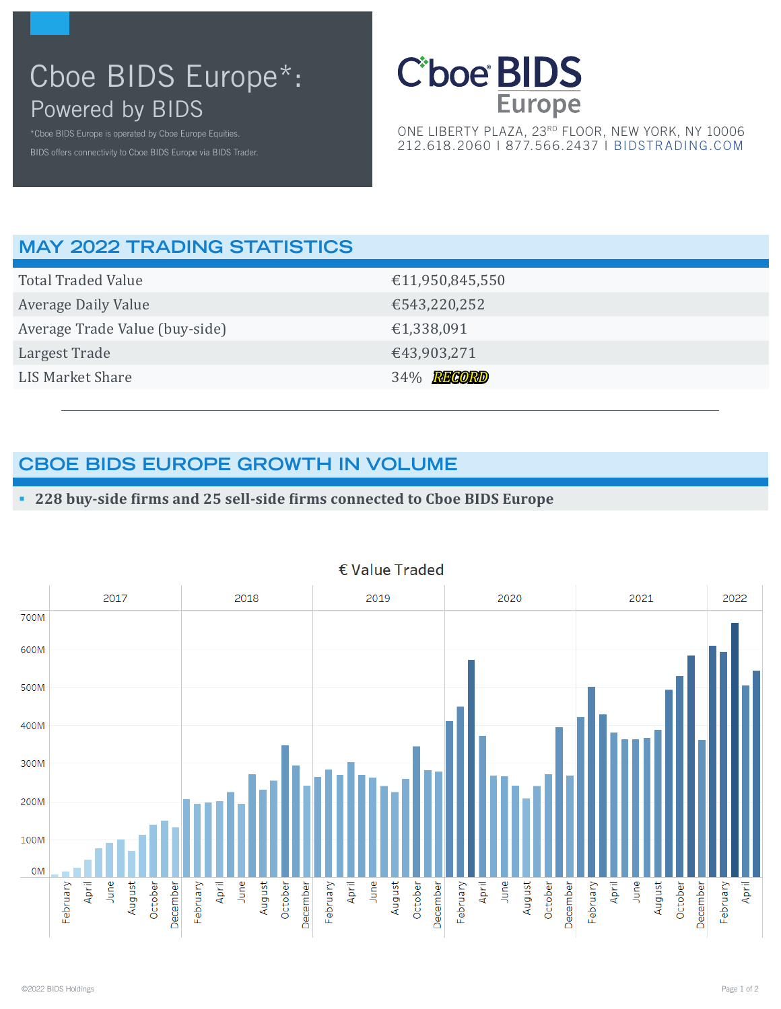# Cboe BIDS Europe\*: Powered by BIDS



ONE LIBERTY PLAZA, 23RD FLOOR, NEW YORK, NY 10006 212.618.2060 | 877.566.2437 | [BIDSTRADING.COM](http://www.bidstrading.com)

## **MAY 2022 TRADING STATISTICS**

| <b>Total Traded Value</b>      | €11,950,845,550 |
|--------------------------------|-----------------|
| Average Daily Value            | €543,220,252    |
| Average Trade Value (buy-side) | €1,338,091      |
| Largest Trade                  | €43,903,271     |
| LIS Market Share               | 34% RECORD      |
|                                |                 |

## **CBOE BIDS EUROPE GROWTH IN VOLUME**

#### **228 buy-side firms and 25 sell-side firms connected to Cboe BIDS Europe**



#### € Value Traded